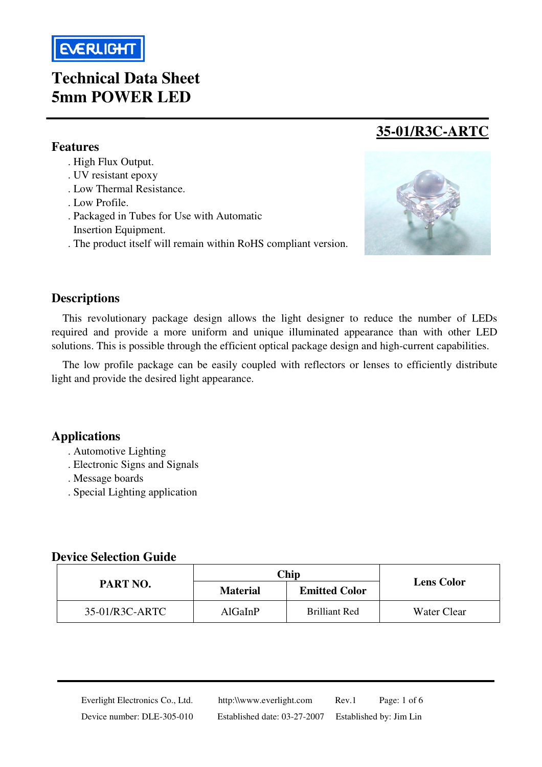

## **Technical Data Sheet 5mm POWER LED**

#### **Features**

l

- . High Flux Output.
- . UV resistant epoxy
- . Low Thermal Resistance.
- . Low Profile.
- . Packaged in Tubes for Use with Automatic
- Insertion Equipment.
- . The product itself will remain within RoHS compliant version.



**35-01/R3C-ARTC**

#### **Descriptions**

This revolutionary package design allows the light designer to reduce the number of LEDs required and provide a more uniform and unique illuminated appearance than with other LED solutions. This is possible through the efficient optical package design and high-current capabilities.

The low profile package can be easily coupled with reflectors or lenses to efficiently distribute light and provide the desired light appearance.

#### **Applications**

- . Automotive Lighting
- . Electronic Signs and Signals
- . Message boards
- . Special Lighting application

#### **Device Selection Guide**

|                | Chip            |                      |                   |
|----------------|-----------------|----------------------|-------------------|
| PART NO.       | <b>Material</b> | <b>Emitted Color</b> | <b>Lens Color</b> |
| 35-01/R3C-ARTC | AlGaInP         | <b>Brilliant Red</b> | Water Clear       |

 Everlight Electronics Co., Ltd. http:\\www.everlight.com Rev.1 Page: 1 of 6 Device number: DLE-305-010 Established date: 03-27-2007 Established by: Jim Lin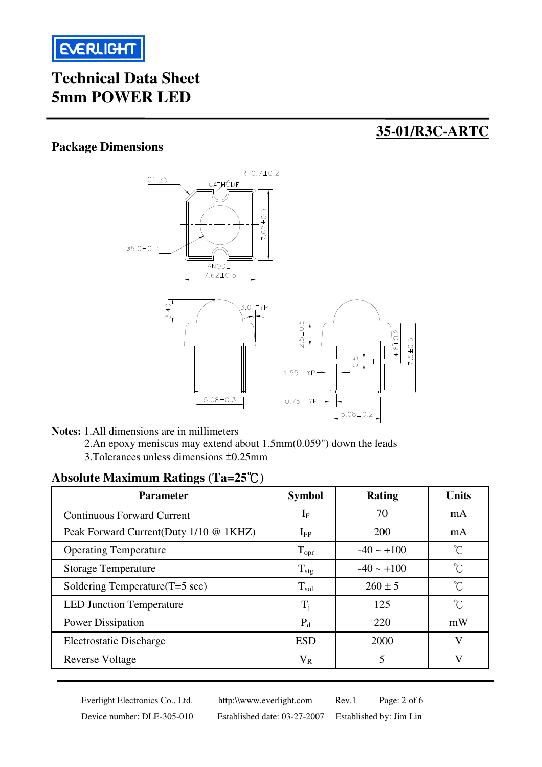

# **Technical Data Sheet 5mm POWER LED**

## **35-01/R3C-ARTC**

#### **Package Dimensions**



**Notes:** 1.All dimensions are in millimeters

 2.An epoxy meniscus may extend about 1.5mm(0.059") down the leads 3.Tolerances unless dimensions ±0.25mm

## **Absolute Maximum Ratings (Ta=25**℃**)**

| <b>Parameter</b>                       | <b>Symbol</b>    | <b>Rating</b>   | <b>Units</b>        |
|----------------------------------------|------------------|-----------------|---------------------|
| <b>Continuous Forward Current</b>      | $1_F$            | 70              | mA                  |
| Peak Forward Current(Duty 1/10 @ 1KHZ) | $I_{FP}$         | 200             | mA                  |
| <b>Operating Temperature</b>           | $T_{\rm opr}$    | $-40 \sim +100$ | °C                  |
| <b>Storage Temperature</b>             | $T_{\text{stg}}$ | $-40 \sim +100$ | $\int_0^\infty$     |
| Soldering Temperature(T=5 sec)         | $T_{sol}$        | $260 \pm 5$     | $\int_0^\infty$     |
| <b>LED Junction Temperature</b>        | $T_i$            | 125             | $\int_{0}^{\infty}$ |
| <b>Power Dissipation</b>               | $P_d$            | 220             | mW                  |
| <b>Electrostatic Discharge</b>         | <b>ESD</b>       | 2000            | V                   |
| Reverse Voltage                        | $\rm V_R$        | 5               | V                   |

Everlight Electronics Co., Ltd. http:\\www.everlight.com Rev.1 Page: 2 of 6 Device number: DLE-305-010 Established date: 03-27-2007 Established by: Jim Lin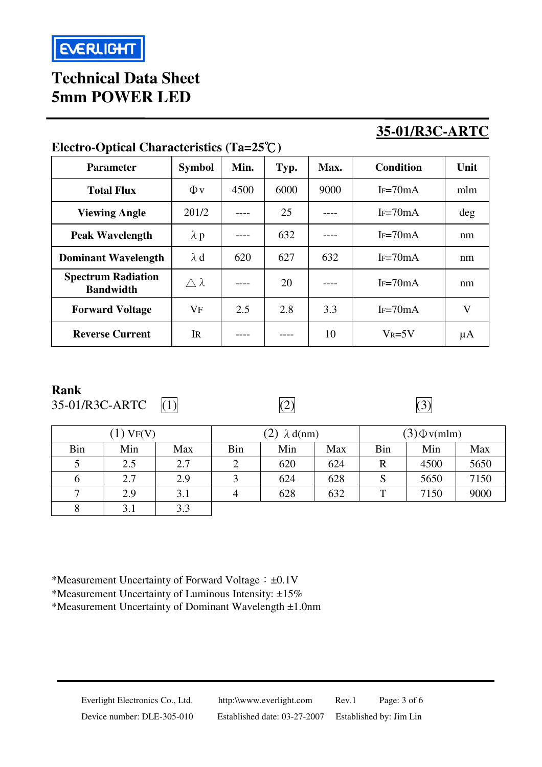# **Technical Data Sheet 5mm POWER LED**

# **35-01/R3C-ARTC**

|                                               | л.               |      |      |      |                  |              |
|-----------------------------------------------|------------------|------|------|------|------------------|--------------|
| <b>Parameter</b>                              | <b>Symbol</b>    | Min. | Typ. | Max. | <b>Condition</b> | Unit         |
| <b>Total Flux</b>                             | $\Phi$ v         | 4500 | 6000 | 9000 | $I_F=70mA$       | mlm          |
| <b>Viewing Angle</b>                          | 201/2            |      | 25   |      | $I_F=70mA$       | $\deg$       |
| <b>Peak Wavelength</b>                        | $\lambda$ p      |      | 632  |      | $I_F=70mA$       | nm           |
| <b>Dominant Wavelength</b>                    | $\lambda$ d      | 620  | 627  | 632  | $I_F=70mA$       | nm           |
| <b>Spectrum Radiation</b><br><b>Bandwidth</b> | $\wedge \lambda$ |      | 20   |      | $I_F=70mA$       | nm           |
| <b>Forward Voltage</b>                        | VF               | 2.5  | 2.8  | 3.3  | $I_F=70mA$       | $\mathbf{V}$ |
| <b>Reverse Current</b>                        | <b>IR</b>        |      |      | 10   | $V_R = 5V$       | $\mu A$      |

## **Electro-Optical Characteristics (Ta=25**℃**)**

#### **Rank**

35-01/R3C-ARTC  $(1)$   $(2)$   $(3)$ 



|     | $(1)$ VF(V) |     | (2)<br>$\lambda$ d(nm) |     | $(3)$ $\Phi$ v(mlm) |     |      |      |
|-----|-------------|-----|------------------------|-----|---------------------|-----|------|------|
| Bin | Min         | Max | Bin                    | Min | Max                 | Bin | Min  | Max  |
|     | 2.5         | 2.7 | 2                      | 620 | 624                 | R   | 4500 | 5650 |
| O   | 2.7         | 2.9 | 3                      | 624 | 628                 | S   | 5650 | 7150 |
| ⇁   | 2.9         | 3.1 | 4                      | 628 | 632                 | ᠇᠇  | 7150 | 9000 |
| 8   | 3.1         | 3.3 |                        |     |                     |     |      |      |

\*Measurement Uncertainty of Forward Voltage:±0.1V

\*Measurement Uncertainty of Luminous Intensity: ±15%

\*Measurement Uncertainty of Dominant Wavelength ±1.0nm

Everlight Electronics Co., Ltd. http:\\www.everlight.com Rev.1 Page: 3 of 6 Device number: DLE-305-010 Established date: 03-27-2007 Established by: Jim Lin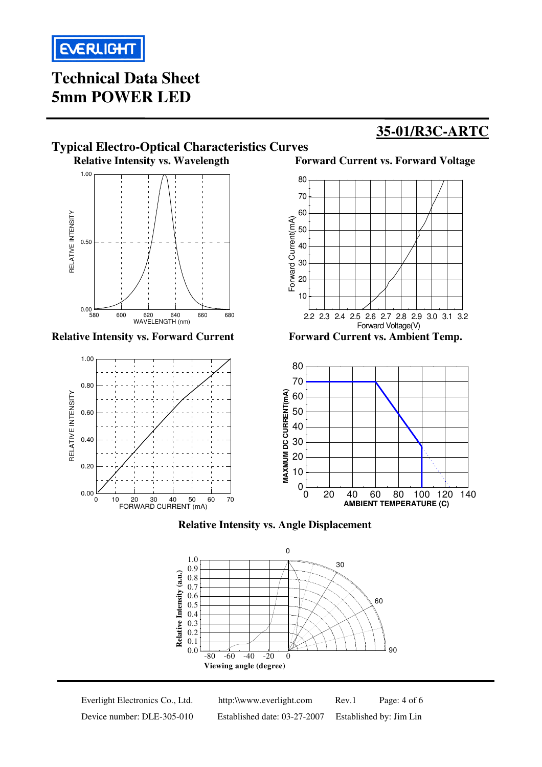

# **Technical Data Sheet 5mm POWER LED**

## **35-01/R3C-ARTC**





Everlight Electronics Co., Ltd. http:\\www.everlight.com Rev.1 Page: 4 of 6 Device number: DLE-305-010 Established date: 03-27-2007 Established by: Jim Lin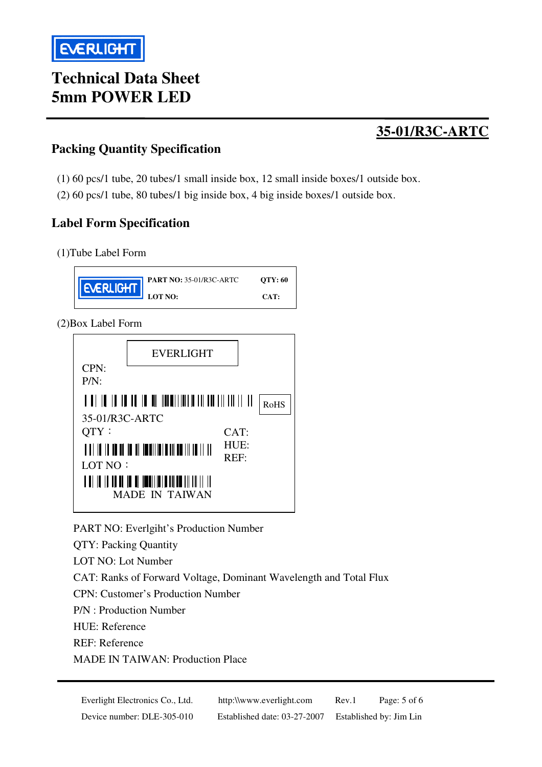# **Technical Data Sheet 5mm POWER LED**

## **35-01/R3C-ARTC**

## **Packing Quantity Specification**

- (1) 60 pcs/1 tube, 20 tubes/1 small inside box, 12 small inside boxes/1 outside box.
- (2) 60 pcs/1 tube, 80 tubes/1 big inside box, 4 big inside boxes/1 outside box.

### **Label Form Specification**

(1)Tube Label Form



(2)Box Label Form



PART NO: Everlgiht's Production Number

QTY: Packing Quantity

LOT NO: Lot Number

CAT: Ranks of Forward Voltage, Dominant Wavelength and Total Flux

CPN: Customer's Production Number

P/N : Production Number

HUE: Reference

REF: Reference

MADE IN TAIWAN: Production Place